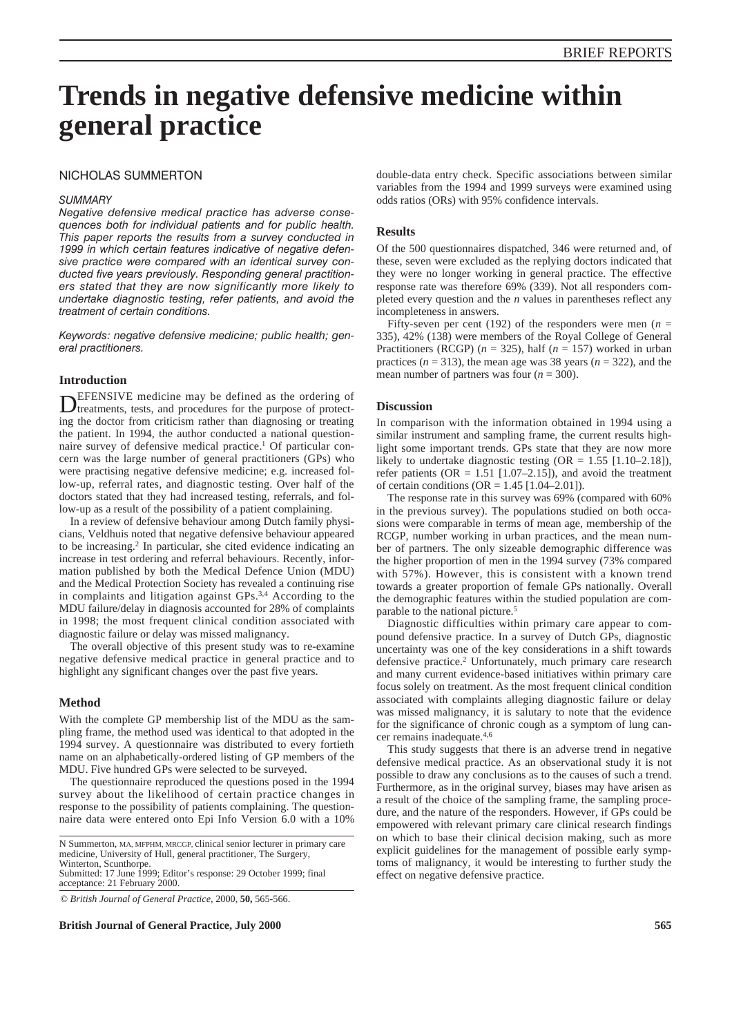# **Trends in negative defensive medicine within general practice**

# NICHOLAS SUMMERTON

## *SUMMARY*

*Negative defensive medical practice has adverse consequences both for individual patients and for public health. This paper reports the results from a survey conducted in 1999 in which certain features indicative of negative defensive practice were compared with an identical survey conducted five years previously. Responding general practitioners stated that they are now significantly more likely to undertake diagnostic testing, refer patients, and avoid the treatment of certain conditions.*

*Keywords: negative defensive medicine; public health; general practitioners.*

## **Introduction**

DEFENSIVE medicine may be defined as the ordering of treatments, tests, and procedures for the purpose of protecting the doctor from criticism rather than diagnosing or treating the patient. In 1994, the author conducted a national questionnaire survey of defensive medical practice.1 Of particular concern was the large number of general practitioners (GPs) who were practising negative defensive medicine; e.g. increased follow-up, referral rates, and diagnostic testing. Over half of the doctors stated that they had increased testing, referrals, and follow-up as a result of the possibility of a patient complaining.

In a review of defensive behaviour among Dutch family physicians, Veldhuis noted that negative defensive behaviour appeared to be increasing.2 In particular, she cited evidence indicating an increase in test ordering and referral behaviours. Recently, information published by both the Medical Defence Union (MDU) and the Medical Protection Society has revealed a continuing rise in complaints and litigation against GPs.<sup>3,4</sup> According to the MDU failure/delay in diagnosis accounted for 28% of complaints in 1998; the most frequent clinical condition associated with diagnostic failure or delay was missed malignancy.

The overall objective of this present study was to re-examine negative defensive medical practice in general practice and to highlight any significant changes over the past five years.

# **Method**

With the complete GP membership list of the MDU as the sampling frame, the method used was identical to that adopted in the 1994 survey. A questionnaire was distributed to every fortieth name on an alphabetically-ordered listing of GP members of the MDU. Five hundred GPs were selected to be surveyed.

The questionnaire reproduced the questions posed in the 1994 survey about the likelihood of certain practice changes in response to the possibility of patients complaining. The questionnaire data were entered onto Epi Info Version 6.0 with a 10%

N Summerton, MA, MFPHM, MRCGP, clinical senior lecturer in primary care medicine, University of Hull, general practitioner, The Surgery, Winterton, Scunthorpe.

Submitted: 17 June 1999; Editor's response: 29 October 1999; final acceptance: 21 February 2000.

© *British Journal of General Practice,* 2000, **50,** 565-566.

**British Journal of General Practice, July 2000 565**

double-data entry check. Specific associations between similar variables from the 1994 and 1999 surveys were examined using odds ratios (ORs) with 95% confidence intervals.

# **Results**

Of the 500 questionnaires dispatched, 346 were returned and, of these, seven were excluded as the replying doctors indicated that they were no longer working in general practice. The effective response rate was therefore 69% (339). Not all responders completed every question and the *n* values in parentheses reflect any incompleteness in answers.

Fifty-seven per cent (192) of the responders were men ( $n =$ 335), 42% (138) were members of the Royal College of General Practitioners (RCGP) ( $n = 325$ ), half ( $n = 157$ ) worked in urban practices  $(n = 313)$ , the mean age was 38 years  $(n = 322)$ , and the mean number of partners was four (*n* = 300).

## **Discussion**

In comparison with the information obtained in 1994 using a similar instrument and sampling frame, the current results highlight some important trends. GPs state that they are now more likely to undertake diagnostic testing (OR =  $1.55$  [1.10–2.18]), refer patients ( $OR = 1.51$  [1.07–2.15]), and avoid the treatment of certain conditions (OR =  $1.45$  [1.04–2.01]).

The response rate in this survey was 69% (compared with 60% in the previous survey). The populations studied on both occasions were comparable in terms of mean age, membership of the RCGP, number working in urban practices, and the mean number of partners. The only sizeable demographic difference was the higher proportion of men in the 1994 survey (73% compared with 57%). However, this is consistent with a known trend towards a greater proportion of female GPs nationally. Overall the demographic features within the studied population are comparable to the national picture.5

Diagnostic difficulties within primary care appear to compound defensive practice. In a survey of Dutch GPs, diagnostic uncertainty was one of the key considerations in a shift towards defensive practice.<sup>2</sup> Unfortunately, much primary care research and many current evidence-based initiatives within primary care focus solely on treatment. As the most frequent clinical condition associated with complaints alleging diagnostic failure or delay was missed malignancy, it is salutary to note that the evidence for the significance of chronic cough as a symptom of lung cancer remains inadequate.4,6

This study suggests that there is an adverse trend in negative defensive medical practice. As an observational study it is not possible to draw any conclusions as to the causes of such a trend. Furthermore, as in the original survey, biases may have arisen as a result of the choice of the sampling frame, the sampling procedure, and the nature of the responders. However, if GPs could be empowered with relevant primary care clinical research findings on which to base their clinical decision making, such as more explicit guidelines for the management of possible early symptoms of malignancy, it would be interesting to further study the effect on negative defensive practice.